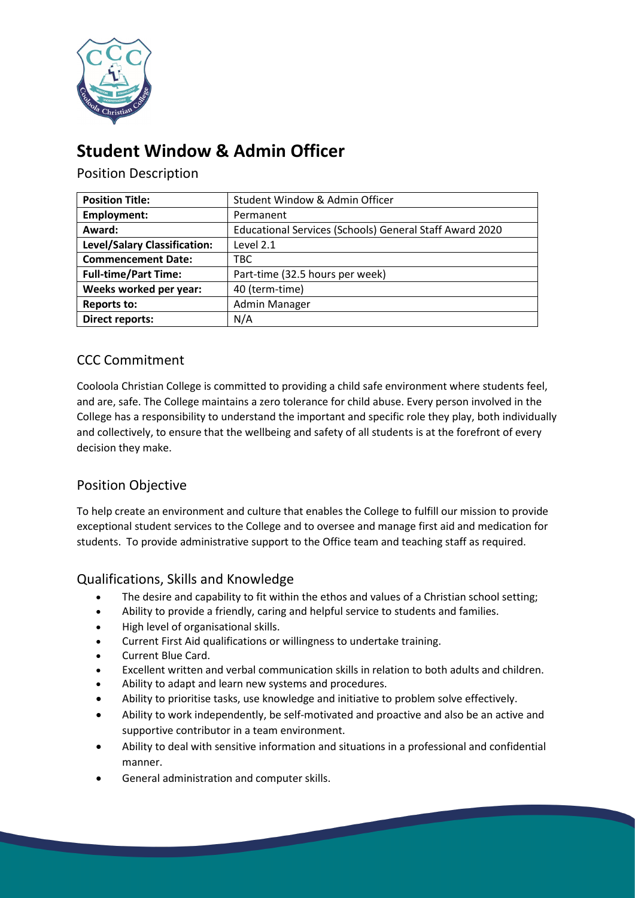

# **Student Window & Admin Officer**

Position Description

| <b>Position Title:</b>       | Student Window & Admin Officer                          |
|------------------------------|---------------------------------------------------------|
| Employment:                  | Permanent                                               |
| Award:                       | Educational Services (Schools) General Staff Award 2020 |
| Level/Salary Classification: | Level 2.1                                               |
| <b>Commencement Date:</b>    | TBC.                                                    |
| <b>Full-time/Part Time:</b>  | Part-time (32.5 hours per week)                         |
| Weeks worked per year:       | 40 (term-time)                                          |
| <b>Reports to:</b>           | <b>Admin Manager</b>                                    |
| <b>Direct reports:</b>       | N/A                                                     |

# CCC Commitment

Cooloola Christian College is committed to providing a child safe environment where students feel, and are, safe. The College maintains a zero tolerance for child abuse. Every person involved in the College has a responsibility to understand the important and specific role they play, both individually and collectively, to ensure that the wellbeing and safety of all students is at the forefront of every decision they make.

## Position Objective

To help create an environment and culture that enables the College to fulfill our mission to provide exceptional student services to the College and to oversee and manage first aid and medication for students. To provide administrative support to the Office team and teaching staff as required.

## Qualifications, Skills and Knowledge

- The desire and capability to fit within the ethos and values of a Christian school setting;
- Ability to provide a friendly, caring and helpful service to students and families.
- High level of organisational skills.
- Current First Aid qualifications or willingness to undertake training.
- Current Blue Card.
- Excellent written and verbal communication skills in relation to both adults and children.
- Ability to adapt and learn new systems and procedures.
- Ability to prioritise tasks, use knowledge and initiative to problem solve effectively.
- Ability to work independently, be self-motivated and proactive and also be an active and supportive contributor in a team environment.
- Ability to deal with sensitive information and situations in a professional and confidential manner.
- General administration and computer skills.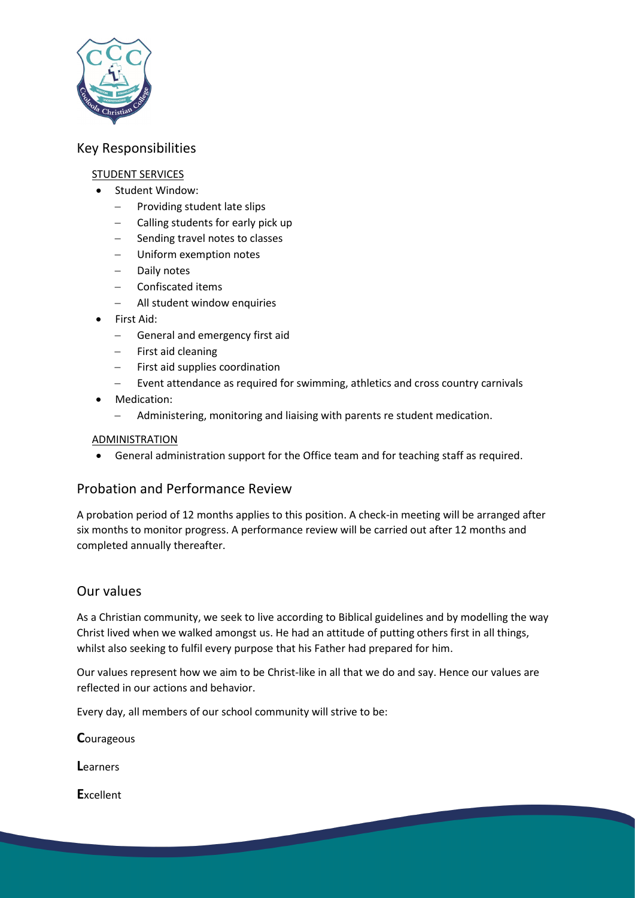

### Key Responsibilities

#### STUDENT SERVICES

- Student Window:
	- − Providing student late slips
	- − Calling students for early pick up
	- Sending travel notes to classes
	- − Uniform exemption notes
	- − Daily notes
	- − Confiscated items
	- − All student window enquiries
- First Aid:
	- General and emergency first aid
	- First aid cleaning
	- First aid supplies coordination
	- Event attendance as required for swimming, athletics and cross country carnivals
- Medication:
	- − Administering, monitoring and liaising with parents re student medication.

#### ADMINISTRATION

• General administration support for the Office team and for teaching staff as required.

#### Probation and Performance Review

A probation period of 12 months applies to this position. A check-in meeting will be arranged after six months to monitor progress. A performance review will be carried out after 12 months and completed annually thereafter.

#### Our values

As a Christian community, we seek to live according to Biblical guidelines and by modelling the way Christ lived when we walked amongst us. He had an attitude of putting others first in all things, whilst also seeking to fulfil every purpose that his Father had prepared for him.

Our values represent how we aim to be Christ-like in all that we do and say. Hence our values are reflected in our actions and behavior.

Every day, all members of our school community will strive to be:

**C**ourageous

**L**earners

**E**xcellent